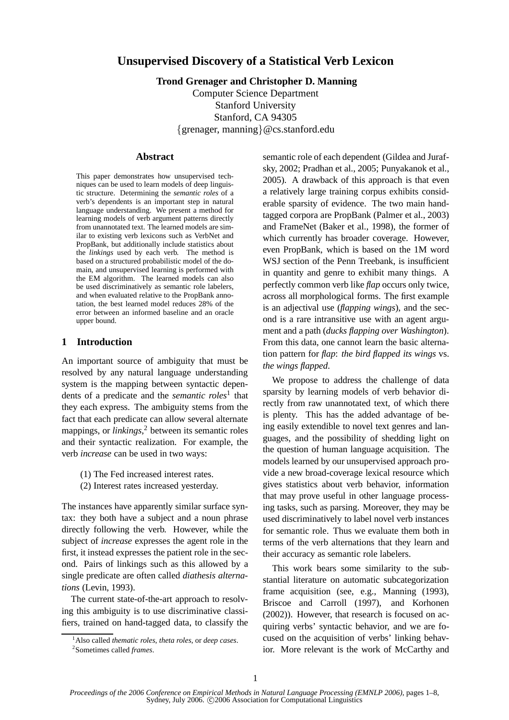# **Unsupervised Discovery of a Statistical Verb Lexicon**

**Trond Grenager and Christopher D. Manning**

Computer Science Department Stanford University Stanford, CA 94305 {grenager, manning}@cs.stanford.edu

# **Abstract**

This paper demonstrates how unsupervised techniques can be used to learn models of deep linguistic structure. Determining the *semantic roles* of a verb's dependents is an important step in natural language understanding. We present a method for learning models of verb argument patterns directly from unannotated text. The learned models are similar to existing verb lexicons such as VerbNet and PropBank, but additionally include statistics about the *linkings* used by each verb. The method is based on a structured probabilistic model of the domain, and unsupervised learning is performed with the EM algorithm. The learned models can also be used discriminatively as semantic role labelers, and when evaluated relative to the PropBank annotation, the best learned model reduces 28% of the error between an informed baseline and an oracle upper bound.

# **1 Introduction**

An important source of ambiguity that must be resolved by any natural language understanding system is the mapping between syntactic dependents of a predicate and the *semantic roles*<sup>1</sup> that they each express. The ambiguity stems from the fact that each predicate can allow several alternate mappings, or *linkings*, <sup>2</sup> between its semantic roles and their syntactic realization. For example, the verb *increase* can be used in two ways:

- (1) The Fed increased interest rates.
- (2) Interest rates increased yesterday.

The instances have apparently similar surface syntax: they both have a subject and a noun phrase directly following the verb. However, while the subject of *increase* expresses the agent role in the first, it instead expresses the patient role in the second. Pairs of linkings such as this allowed by a single predicate are often called *diathesis alternations* (Levin, 1993).

The current state-of-the-art approach to resolving this ambiguity is to use discriminative classifiers, trained on hand-tagged data, to classify the semantic role of each dependent (Gildea and Jurafsky, 2002; Pradhan et al., 2005; Punyakanok et al., 2005). A drawback of this approach is that even a relatively large training corpus exhibits considerable sparsity of evidence. The two main handtagged corpora are PropBank (Palmer et al., 2003) and FrameNet (Baker et al., 1998), the former of which currently has broader coverage. However, even PropBank, which is based on the 1M word WSJ section of the Penn Treebank, is insufficient in quantity and genre to exhibit many things. A perfectly common verb like *flap* occurs only twice, across all morphological forms. The first example is an adjectival use (*flapping wings*), and the second is a rare intransitive use with an agent argument and a path (*ducks flapping over Washington*). From this data, one cannot learn the basic alternation pattern for *flap*: *the bird flapped its wings* vs. *the wings flapped*.

We propose to address the challenge of data sparsity by learning models of verb behavior directly from raw unannotated text, of which there is plenty. This has the added advantage of being easily extendible to novel text genres and languages, and the possibility of shedding light on the question of human language acquisition. The models learned by our unsupervised approach provide a new broad-coverage lexical resource which gives statistics about verb behavior, information that may prove useful in other language processing tasks, such as parsing. Moreover, they may be used discriminatively to label novel verb instances for semantic role. Thus we evaluate them both in terms of the verb alternations that they learn and their accuracy as semantic role labelers.

This work bears some similarity to the substantial literature on automatic subcategorization frame acquisition (see, e.g., Manning (1993), Briscoe and Carroll (1997), and Korhonen (2002)). However, that research is focused on acquiring verbs' syntactic behavior, and we are focused on the acquisition of verbs' linking behavior. More relevant is the work of McCarthy and

<sup>1</sup>Also called *thematic roles*, *theta roles*, or *deep cases*.

<sup>2</sup> Sometimes called *frames*.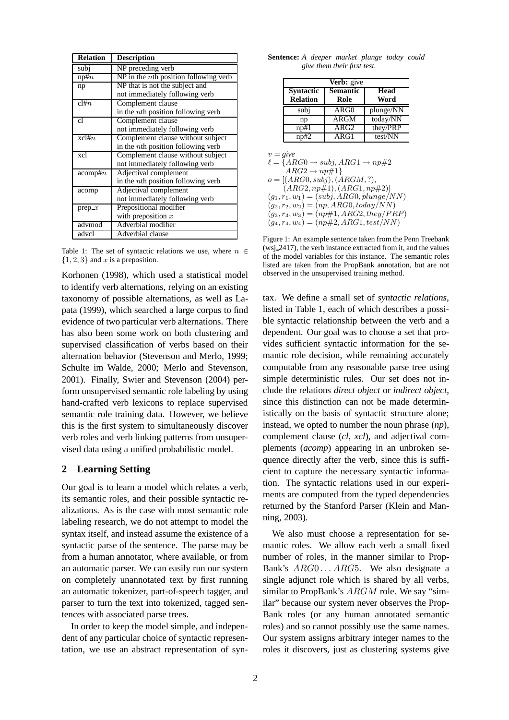| <b>Relation</b> | <b>Description</b>                              |
|-----------------|-------------------------------------------------|
| subj            | NP preceding verb                               |
| np#n            | $NP$ in the <i>n</i> th position following verb |
| np              | NP that is not the subject and                  |
|                 | not immediately following verb                  |
| cl#n            | Complement clause                               |
|                 | in the <i>n</i> th position following verb      |
| cl              | Complement clause                               |
|                 | not immediately following verb                  |
| $xcl$ # $n$     | Complement clause without subject               |
|                 | in the <i>nth</i> position following verb       |
| xcl             | Complement clause without subject               |
|                 | not immediately following verb                  |
| $acomp \#n$     | Adjectival complement                           |
|                 | in the <i>nth</i> position following verb       |
| acomp           | Adjectival complement                           |
|                 | not immediately following verb                  |
| prep $x$        | Prepositional modifier                          |
|                 | with preposition $x$                            |
| advmod          | Adverbial modifier                              |
| advcl           | Adverbial clause                                |

Table 1: The set of syntactic relations we use, where  $n \in$  $\{1, 2, 3\}$  and x is a preposition.

Korhonen (1998), which used a statistical model to identify verb alternations, relying on an existing taxonomy of possible alternations, as well as Lapata (1999), which searched a large corpus to find evidence of two particular verb alternations. There has also been some work on both clustering and supervised classification of verbs based on their alternation behavior (Stevenson and Merlo, 1999; Schulte im Walde, 2000; Merlo and Stevenson, 2001). Finally, Swier and Stevenson (2004) perform unsupervised semantic role labeling by using hand-crafted verb lexicons to replace supervised semantic role training data. However, we believe this is the first system to simultaneously discover verb roles and verb linking patterns from unsupervised data using a unified probabilistic model.

## **2 Learning Setting**

Our goal is to learn a model which relates a verb, its semantic roles, and their possible syntactic realizations. As is the case with most semantic role labeling research, we do not attempt to model the syntax itself, and instead assume the existence of a syntactic parse of the sentence. The parse may be from a human annotator, where available, or from an automatic parser. We can easily run our system on completely unannotated text by first running an automatic tokenizer, part-of-speech tagger, and parser to turn the text into tokenized, tagged sentences with associated parse trees.

In order to keep the model simple, and independent of any particular choice of syntactic representation, we use an abstract representation of syn-

**Sentence:** *A deeper market plunge today could give them their first test.*

| Verb: give                          |                         |              |  |
|-------------------------------------|-------------------------|--------------|--|
| <b>Syntactic</b><br><b>Relation</b> | <b>Semantic</b><br>Role | Head<br>Word |  |
| subj                                | ARG0                    | plunge/NN    |  |
| np                                  | $ARG\overline{M}$       | today/NN     |  |
| np#1                                | ARG2                    | they/PRP     |  |
| np#2                                | ARG1                    | test/NN      |  |

 $v = \text{give}$  $\ell = \{ARG0 \rightarrow subj, ARG1 \rightarrow np \#2$  $ARG2 \rightarrow np \# 1$  $o = [(ARG0, subj), (ARGM, ?),$  $(ARG2, np#1), (ARG1, np#2)]$  $(g_1, r_1, w_1) = (subj, ARG0, plunge/NN)$  $(g_2, r_2, w_2) = (np, ARG0, today/NN)$  $(g_3, r_3, w_3) = (np#1, ARG2, they/PRP)$  $(q_4, r_4, w_4) = (np \# 2, ARG1, test/NN)$ 

Figure 1: An example sentence taken from the Penn Treebank (wsj 2417), the verb instance extracted from it, and the values of the model variables for this instance. The semantic roles listed are taken from the PropBank annotation, but are not observed in the unsupervised training method.

tax. We define a small set of *syntactic relations*, listed in Table 1, each of which describes a possible syntactic relationship between the verb and a dependent. Our goal was to choose a set that provides sufficient syntactic information for the semantic role decision, while remaining accurately computable from any reasonable parse tree using simple deterministic rules. Our set does not include the relations *direct object* or *indirect object*, since this distinction can not be made deterministically on the basis of syntactic structure alone; instead, we opted to number the noun phrase (*np*), complement clause (*cl, xcl*), and adjectival complements (*acomp*) appearing in an unbroken sequence directly after the verb, since this is sufficient to capture the necessary syntactic information. The syntactic relations used in our experiments are computed from the typed dependencies returned by the Stanford Parser (Klein and Manning, 2003).

We also must choose a representation for semantic roles. We allow each verb a small fixed number of roles, in the manner similar to Prop-Bank's  $ARG0 \dots ARG5$ . We also designate a single adjunct role which is shared by all verbs, similar to PropBank's ARGM role. We say "similar" because our system never observes the Prop-Bank roles (or any human annotated semantic roles) and so cannot possibly use the same names. Our system assigns arbitrary integer names to the roles it discovers, just as clustering systems give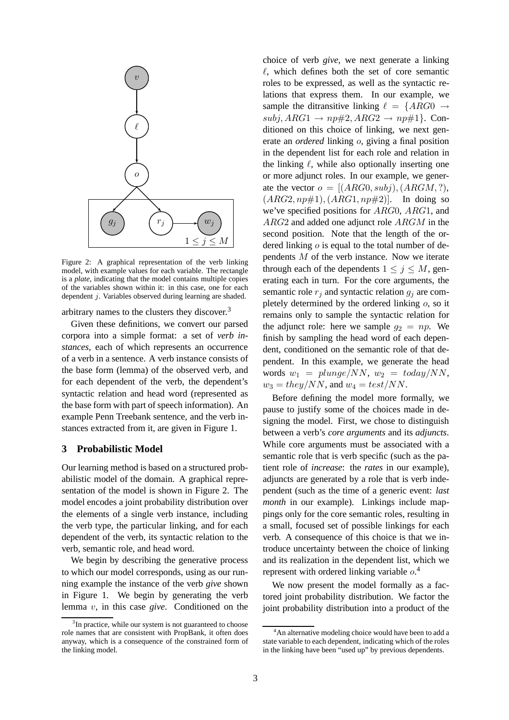

Figure 2: A graphical representation of the verb linking model, with example values for each variable. The rectangle is a *plate*, indicating that the model contains multiple copies of the variables shown within it: in this case, one for each dependent j. Variables observed during learning are shaded.

arbitrary names to the clusters they discover.<sup>3</sup>

Given these definitions, we convert our parsed corpora into a simple format: a set of *verb instances*, each of which represents an occurrence of a verb in a sentence. A verb instance consists of the base form (lemma) of the observed verb, and for each dependent of the verb, the dependent's syntactic relation and head word (represented as the base form with part of speech information). An example Penn Treebank sentence, and the verb instances extracted from it, are given in Figure 1.

#### **3 Probabilistic Model**

Our learning method is based on a structured probabilistic model of the domain. A graphical representation of the model is shown in Figure 2. The model encodes a joint probability distribution over the elements of a single verb instance, including the verb type, the particular linking, and for each dependent of the verb, its syntactic relation to the verb, semantic role, and head word.

We begin by describing the generative process to which our model corresponds, using as our running example the instance of the verb *give* shown in Figure 1. We begin by generating the verb lemma v, in this case *give*. Conditioned on the choice of verb *give*, we next generate a linking  $\ell$ , which defines both the set of core semantic roles to be expressed, as well as the syntactic relations that express them. In our example, we sample the ditransitive linking  $\ell = \{ARG0 \rightarrow$  $subj, ARG1 \rightarrow np\#2, ARG2 \rightarrow np\#1$ . Conditioned on this choice of linking, we next generate an *ordered* linking o, giving a final position in the dependent list for each role and relation in the linking  $\ell$ , while also optionally inserting one or more adjunct roles. In our example, we generate the vector  $o = [(ARG0, subi), (ARGM, ?),]$  $(ARG2, np#1), (ARG1, np#2)].$  In doing so we've specified positions for ARG0, ARG1, and ARG2 and added one adjunct role ARGM in the second position. Note that the length of the ordered linking  $o$  is equal to the total number of dependents M of the verb instance. Now we iterate through each of the dependents  $1 \leq j \leq M$ , generating each in turn. For the core arguments, the semantic role  $r_j$  and syntactic relation  $g_j$  are completely determined by the ordered linking  $o$ , so it remains only to sample the syntactic relation for the adjunct role: here we sample  $g_2 = np$ . We finish by sampling the head word of each dependent, conditioned on the semantic role of that dependent. In this example, we generate the head words  $w_1 = plane/NN$ ,  $w_2 = today/NN$ ,  $w_3 = \frac{they}{NN}$ , and  $w_4 = \frac{test}{NN}$ .

Before defining the model more formally, we pause to justify some of the choices made in designing the model. First, we chose to distinguish between a verb's *core arguments* and its *adjuncts*. While core arguments must be associated with a semantic role that is verb specific (such as the patient role of *increase*: the *rates* in our example), adjuncts are generated by a role that is verb independent (such as the time of a generic event: *last month* in our example). Linkings include mappings only for the core semantic roles, resulting in a small, focused set of possible linkings for each verb. A consequence of this choice is that we introduce uncertainty between the choice of linking and its realization in the dependent list, which we represent with ordered linking variable  $o$ .<sup>4</sup>

We now present the model formally as a factored joint probability distribution. We factor the joint probability distribution into a product of the

<sup>&</sup>lt;sup>3</sup>In practice, while our system is not guaranteed to choose role names that are consistent with PropBank, it often does anyway, which is a consequence of the constrained form of the linking model.

<sup>&</sup>lt;sup>4</sup>An alternative modeling choice would have been to add a state variable to each dependent, indicating which of the roles in the linking have been "used up" by previous dependents.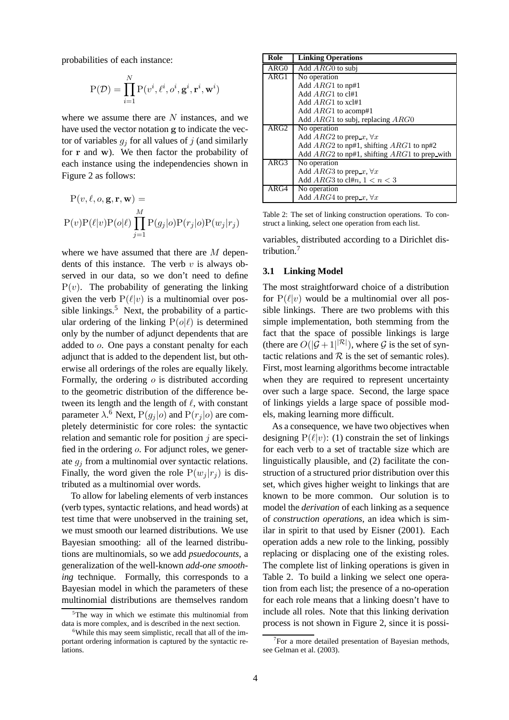probabilities of each instance:

$$
P(\mathcal{D}) = \prod_{i=1}^{N} P(v^i, \ell^i, o^i, \mathbf{g}^i, \mathbf{r}^i, \mathbf{w}^i)
$$

where we assume there are  $N$  instances, and we have used the vector notation g to indicate the vector of variables  $q_i$  for all values of j (and similarly for r and w). We then factor the probability of each instance using the independencies shown in Figure 2 as follows:

$$
P(v, \ell, o, \mathbf{g}, \mathbf{r}, \mathbf{w}) =
$$
  

$$
P(v)P(\ell|v)P(o|\ell) \prod_{j=1}^{M} P(g_j|o)P(r_j|o)P(w_j|r_j)
$$

where we have assumed that there are M dependents of this instance. The verb  $v$  is always observed in our data, so we don't need to define  $P(v)$ . The probability of generating the linking given the verb  $P(\ell|v)$  is a multinomial over possible linkings.<sup>5</sup> Next, the probability of a particular ordering of the linking  $P(o|\ell)$  is determined only by the number of adjunct dependents that are added to o. One pays a constant penalty for each adjunct that is added to the dependent list, but otherwise all orderings of the roles are equally likely. Formally, the ordering  $\sigma$  is distributed according to the geometric distribution of the difference between its length and the length of  $\ell$ , with constant parameter  $\lambda$ .<sup>6</sup> Next,  $P(g_j|o)$  and  $P(r_j|o)$  are completely deterministic for core roles: the syntactic relation and semantic role for position  $j$  are specified in the ordering o. For adjunct roles, we generate  $g_i$  from a multinomial over syntactic relations. Finally, the word given the role  $P(w_i | r_i)$  is distributed as a multinomial over words.

To allow for labeling elements of verb instances (verb types, syntactic relations, and head words) at test time that were unobserved in the training set, we must smooth our learned distributions. We use Bayesian smoothing: all of the learned distributions are multinomials, so we add *psuedocounts*, a generalization of the well-known *add-one smoothing* technique. Formally, this corresponds to a Bayesian model in which the parameters of these multinomial distributions are themselves random

| Role             | <b>Linking Operations</b>                        |
|------------------|--------------------------------------------------|
| ARG0             | Add $ARG0$ to subj                               |
| ARG1             | No operation                                     |
|                  | Add $ARG1$ to np#1                               |
|                  | Add ARG1 to cl#1                                 |
|                  | Add $ARG1$ to xcl#1                              |
|                  | Add $ARG1$ to acomp#1                            |
|                  | Add ARG1 to subj, replacing ARG0                 |
| ARG <sub>2</sub> | No operation                                     |
|                  | Add $ARG2$ to prep_x, $\forall x$                |
|                  | Add $ARG2$ to np#1, shifting $ARG1$ to np#2      |
|                  | Add $ARG2$ to np#1, shifting $ARG1$ to prep_with |
| ARG3             | No operation                                     |
|                  | Add ARG3 to prep_x, $\forall x$                  |
|                  | Add ARG3 to cl#n, $1 < n < 3$                    |
| ARG4             | No operation                                     |
|                  | Add $ARG4$ to prep_x, $\forall x$                |

Table 2: The set of linking construction operations. To construct a linking, select one operation from each list.

variables, distributed according to a Dirichlet distribution.<sup>7</sup>

#### **3.1 Linking Model**

The most straightforward choice of a distribution for  $P(\ell|v)$  would be a multinomial over all possible linkings. There are two problems with this simple implementation, both stemming from the fact that the space of possible linkings is large (there are  $O(|\mathcal{G}+1|^{|\mathcal{R}|})$ , where  $\mathcal G$  is the set of syntactic relations and  $R$  is the set of semantic roles). First, most learning algorithms become intractable when they are required to represent uncertainty over such a large space. Second, the large space of linkings yields a large space of possible models, making learning more difficult.

As a consequence, we have two objectives when designing  $P(\ell|v)$ : (1) constrain the set of linkings for each verb to a set of tractable size which are linguistically plausible, and (2) facilitate the construction of a structured prior distribution over this set, which gives higher weight to linkings that are known to be more common. Our solution is to model the *derivation* of each linking as a sequence of *construction operations*, an idea which is similar in spirit to that used by Eisner (2001). Each operation adds a new role to the linking, possibly replacing or displacing one of the existing roles. The complete list of linking operations is given in Table 2. To build a linking we select one operation from each list; the presence of a no-operation for each role means that a linking doesn't have to include all roles. Note that this linking derivation process is not shown in Figure 2, since it is possi-

 $5$ The way in which we estimate this multinomial from data is more complex, and is described in the next section.

<sup>&</sup>lt;sup>6</sup>While this may seem simplistic, recall that all of the important ordering information is captured by the syntactic relations.

<sup>&</sup>lt;sup>7</sup>For a more detailed presentation of Bayesian methods, see Gelman et al. (2003).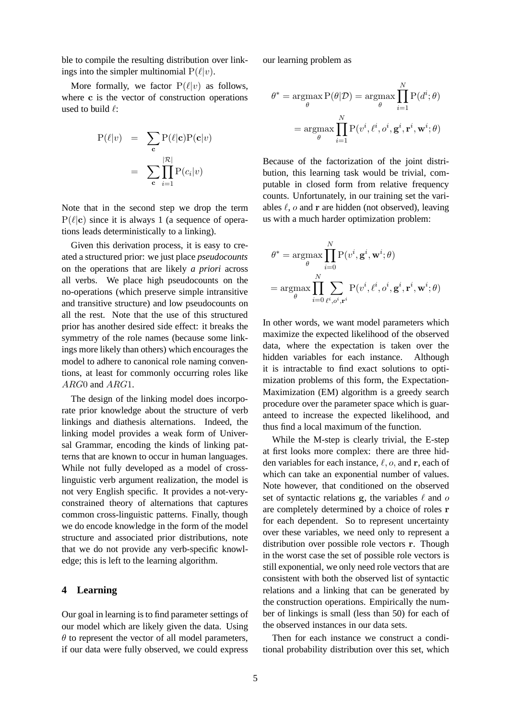ble to compile the resulting distribution over linkings into the simpler multinomial  $P(\ell|v)$ .

More formally, we factor  $P(\ell|v)$  as follows, where c is the vector of construction operations used to build  $\ell$ :

$$
P(\ell|v) = \sum_{\mathbf{c}} P(\ell|\mathbf{c})P(\mathbf{c}|v)
$$

$$
= \sum_{\mathbf{c}} \prod_{i=1}^{|\mathcal{R}|} P(c_i|v)
$$

Note that in the second step we drop the term  $P(\ell|\mathbf{c})$  since it is always 1 (a sequence of operations leads deterministically to a linking).

Given this derivation process, it is easy to created a structured prior: we just place *pseudocounts* on the operations that are likely *a priori* across all verbs. We place high pseudocounts on the no-operations (which preserve simple intransitive and transitive structure) and low pseudocounts on all the rest. Note that the use of this structured prior has another desired side effect: it breaks the symmetry of the role names (because some linkings more likely than others) which encourages the model to adhere to canonical role naming conventions, at least for commonly occurring roles like ARG0 and ARG1.

The design of the linking model does incorporate prior knowledge about the structure of verb linkings and diathesis alternations. Indeed, the linking model provides a weak form of Universal Grammar, encoding the kinds of linking patterns that are known to occur in human languages. While not fully developed as a model of crosslinguistic verb argument realization, the model is not very English specific. It provides a not-veryconstrained theory of alternations that captures common cross-linguistic patterns. Finally, though we do encode knowledge in the form of the model structure and associated prior distributions, note that we do not provide any verb-specific knowledge; this is left to the learning algorithm.

#### **4 Learning**

Our goal in learning is to find parameter settings of our model which are likely given the data. Using  $\theta$  to represent the vector of all model parameters, if our data were fully observed, we could express our learning problem as

$$
\theta^* = \underset{\theta}{\operatorname{argmax}} \mathbf{P}(\theta|\mathcal{D}) = \underset{\theta}{\operatorname{argmax}} \prod_{i=1}^N \mathbf{P}(d^i; \theta)
$$

$$
= \underset{\theta}{\operatorname{argmax}} \prod_{i=1}^N \mathbf{P}(v^i, \ell^i, o^i, \mathbf{g}^i, \mathbf{r}^i, \mathbf{w}^i; \theta)
$$

Because of the factorization of the joint distribution, this learning task would be trivial, computable in closed form from relative frequency counts. Unfortunately, in our training set the variables  $\ell$ ,  $o$  and  $r$  are hidden (not observed), leaving us with a much harder optimization problem:

$$
\theta^* = \underset{\theta}{\operatorname{argmax}} \prod_{i=0}^{N} P(v^i, \mathbf{g}^i, \mathbf{w}^i; \theta)
$$

$$
= \underset{\theta}{\operatorname{argmax}} \prod_{i=0}^{N} \sum_{\ell^i, o^i, \mathbf{r}^i} P(v^i, \ell^i, o^i, \mathbf{g}^i, \mathbf{r}^i, \mathbf{w}^i; \theta)
$$

In other words, we want model parameters which maximize the expected likelihood of the observed data, where the expectation is taken over the hidden variables for each instance. Although it is intractable to find exact solutions to optimization problems of this form, the Expectation-Maximization (EM) algorithm is a greedy search procedure over the parameter space which is guaranteed to increase the expected likelihood, and thus find a local maximum of the function.

While the M-step is clearly trivial, the E-step at first looks more complex: there are three hidden variables for each instance,  $\ell$ ,  $o$ , and r, each of which can take an exponential number of values. Note however, that conditioned on the observed set of syntactic relations  $g$ , the variables  $\ell$  and  $\sigma$ are completely determined by a choice of roles r for each dependent. So to represent uncertainty over these variables, we need only to represent a distribution over possible role vectors r. Though in the worst case the set of possible role vectors is still exponential, we only need role vectors that are consistent with both the observed list of syntactic relations and a linking that can be generated by the construction operations. Empirically the number of linkings is small (less than 50) for each of the observed instances in our data sets.

Then for each instance we construct a conditional probability distribution over this set, which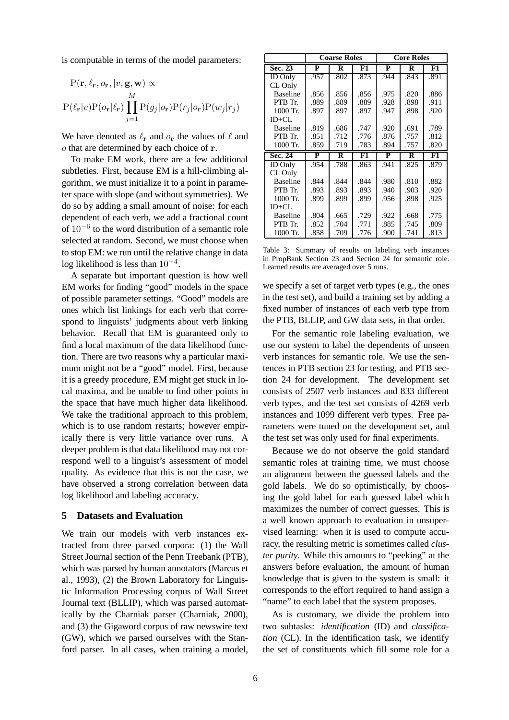is computable in terms of the model parameters:

$$
P(\mathbf{r}, \ell_{\mathbf{r}}, o_{\mathbf{r}}, |v, \mathbf{g}, \mathbf{w}) \propto
$$
  
 
$$
P(\ell_{\mathbf{r}}|v)P(o_{\mathbf{r}}|\ell_{\mathbf{r}}) \prod_{j=1}^{M} P(g_j|o_{\mathbf{r}})P(r_j|o_{\mathbf{r}})P(w_j|r_j)
$$

We have denoted as  $\ell_{\bf r}$  and  $o_{\bf r}$  the values of  $\ell$  and o that are determined by each choice of r.

To make EM work, there are a few additional subtleties. First, because EM is a hill-climbing algorithm, we must initialize it to a point in parameter space with slope (and without symmetries). We do so by adding a small amount of noise: for each dependent of each verb, we add a fractional count of 10−<sup>6</sup> to the word distribution of a semantic role selected at random. Second, we must choose when to stop EM: we run until the relative change in data log likelihood is less than  $10^{-4}$ .

A separate but important question is how well EM works for finding "good" models in the space of possible parameter settings. "Good" models are ones which list linkings for each verb that correspond to linguists' judgments about verb linking behavior. Recall that EM is guaranteed only to find a local maximum of the data likelihood function. There are two reasons why a particular maximum might not be a "good" model. First, because it is a greedy procedure, EM might get stuck in local maxima, and be unable to find other points in the space that have much higher data likelihood. We take the traditional approach to this problem, which is to use random restarts; however empirically there is very little variance over runs. A deeper problem is that data likelihood may not correspond well to a linguist's assessment of model quality. As evidence that this is not the case, we have observed a strong correlation between data log likelihood and labeling accuracy.

#### **5 Datasets and Evaluation**

We train our models with verb instances extracted from three parsed corpora: (1) the Wall Street Journal section of the Penn Treebank (PTB), which was parsed by human annotators (Marcus et al., 1993), (2) the Brown Laboratory for Linguistic Information Processing corpus of Wall Street Journal text (BLLIP), which was parsed automatically by the Charniak parser (Charniak, 2000), and (3) the Gigaword corpus of raw newswire text (GW), which we parsed ourselves with the Stanford parser. In all cases, when training a model,

|                 | <b>Coarse Roles</b>     |      |      |                         | <b>Core Roles</b> |      |
|-----------------|-------------------------|------|------|-------------------------|-------------------|------|
| Sec. 23         | P                       | R    | F1   | P                       | R                 | F1   |
| <b>ID</b> Only  | .957                    | .802 | .873 | .944                    | .843              | .891 |
| CL Only         |                         |      |      |                         |                   |      |
| <b>Baseline</b> | .856                    | .856 | .856 | .975                    | .820              | .886 |
| PTB Tr.         | .889                    | .889 | .889 | .928                    | .898              | .911 |
| 1000 Tr.        | .897                    | .897 | .897 | .947                    | .898              | .920 |
| $ID+CL$         |                         |      |      |                         |                   |      |
| <b>Baseline</b> | .819                    | .686 | .747 | .920                    | .691              | .789 |
| PTB Tr.         | .851                    | .712 | .776 | .876                    | .757              | .812 |
| 1000 Tr.        | .859                    | .719 | .783 | .894                    | .757              | .820 |
| Sec. 24         | $\overline{\mathbf{P}}$ | R    | F1   | $\overline{\mathbf{P}}$ | R                 | F1   |
| <b>ID</b> Only  | .954                    | .788 | .863 | .941                    | .825              | .879 |
| CL Only         |                         |      |      |                         |                   |      |
| <b>Baseline</b> | .844                    | .844 | .844 | .980                    | .810              | .882 |
| PTB Tr.         | .893                    | .893 | .893 | .940                    | .903              | .920 |
| 1000 Tr.        | .899                    | .899 | .899 | .956                    | .898              | .925 |
| $ID+CL$         |                         |      |      |                         |                   |      |
| <b>Baseline</b> | .804                    | .665 | .729 | .922                    | .668              | .775 |
| PTB Tr.         | .852                    | .704 | .771 | .885                    | .745              | .809 |
| 1000 Tr.        | .858                    | .709 | .776 | .900                    | .741              | .813 |

Table 3: Summary of results on labeling verb instances in PropBank Section 23 and Section 24 for semantic role. Learned results are averaged over 5 runs.

we specify a set of target verb types (e.g., the ones in the test set), and build a training set by adding a fixed number of instances of each verb type from the PTB, BLLIP, and GW data sets, in that order.

For the semantic role labeling evaluation, we use our system to label the dependents of unseen verb instances for semantic role. We use the sentences in PTB section 23 for testing, and PTB section 24 for development. The development set consists of 2507 verb instances and 833 different verb types, and the test set consists of 4269 verb instances and 1099 different verb types. Free parameters were tuned on the development set, and the test set was only used for final experiments.

Because we do not observe the gold standard semantic roles at training time, we must choose an alignment between the guessed labels and the gold labels. We do so optimistically, by choosing the gold label for each guessed label which maximizes the number of correct guesses. This is a well known approach to evaluation in unsupervised learning: when it is used to compute accuracy, the resulting metric is sometimes called *cluster purity*. While this amounts to "peeking" at the answers before evaluation, the amount of human knowledge that is given to the system is small: it corresponds to the effort required to hand assign a "name" to each label that the system proposes.

As is customary, we divide the problem into two subtasks: *identification* (ID) and *classification* (CL). In the identification task, we identify the set of constituents which fill some role for a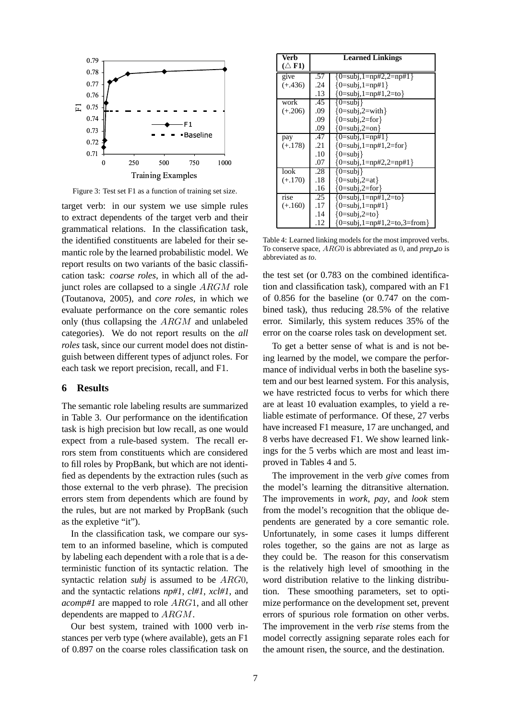

Figure 3: Test set F1 as a function of training set size.

target verb: in our system we use simple rules to extract dependents of the target verb and their grammatical relations. In the classification task, the identified constituents are labeled for their semantic role by the learned probabilistic model. We report results on two variants of the basic classification task: *coarse roles*, in which all of the adjunct roles are collapsed to a single ARGM role (Toutanova, 2005), and *core roles*, in which we evaluate performance on the core semantic roles only (thus collapsing the ARGM and unlabeled categories). We do not report results on the *all roles* task, since our current model does not distinguish between different types of adjunct roles. For each task we report precision, recall, and F1.

## **6 Results**

The semantic role labeling results are summarized in Table 3. Our performance on the identification task is high precision but low recall, as one would expect from a rule-based system. The recall errors stem from constituents which are considered to fill roles by PropBank, but which are not identified as dependents by the extraction rules (such as those external to the verb phrase). The precision errors stem from dependents which are found by the rules, but are not marked by PropBank (such as the expletive "it").

In the classification task, we compare our system to an informed baseline, which is computed by labeling each dependent with a role that is a deterministic function of its syntactic relation. The syntactic relation *subj* is assumed to be ARG0, and the syntactic relations *np#1*, *cl#1*, *xcl#1*, and *acomp#1* are mapped to role ARG1, and all other dependents are mapped to ARGM.

Our best system, trained with 1000 verb instances per verb type (where available), gets an F1 of 0.897 on the coarse roles classification task on

| Verb             | <b>Learned Linkings</b> |                                          |  |  |
|------------------|-------------------------|------------------------------------------|--|--|
| $(\triangle$ F1) |                         |                                          |  |  |
| give             | .57                     | ${0=subi,1=np#2,2=np#1}$                 |  |  |
| $(+.436)$        | .24                     | ${0 = subi, 1 = np#1}$                   |  |  |
|                  | .13                     | ${0 = subi, 1 = np#1, 2 = to}$           |  |  |
| work             | .45                     | ${0=subi}$                               |  |  |
| $(+.206)$        | .09                     | ${0=subj,2=with}$                        |  |  |
|                  | .09                     | ${0=subi,2=for}$                         |  |  |
|                  | .09                     | ${0=subi,2=on}$                          |  |  |
| pay              | .47                     | ${0 = subj, 1 = np#1}$                   |  |  |
| $(+.178)$        | .21                     | ${0 = subi, 1 = np#1, 2 = for}$          |  |  |
|                  | .10                     | ${0=subi}$                               |  |  |
|                  | .07                     | ${0 = subj, 1 = np#2, 2 = np#1}$         |  |  |
| look             | .28                     | ${0=subi}$                               |  |  |
| $(+.170)$        | .18                     | ${0 = subj, 2 = at}$                     |  |  |
|                  | .16                     | ${0=subi,2=for}$                         |  |  |
| rise             | .25                     | ${0 = subi, 1 = np#1, 2 = to}$           |  |  |
| $(+.160)$        | .17                     | ${0 = subj, 1 = np#1}$                   |  |  |
|                  | .14                     | ${0=subi,2=to}$                          |  |  |
|                  | .12                     | ${0 = subi, 1 = np#1, 2 = to, 3 = from}$ |  |  |

Table 4: Learned linking models for the most improved verbs. To conserve space, ARG0 is abbreviated as 0, and *prep to* is abbreviated as *to*.

the test set (or 0.783 on the combined identification and classification task), compared with an F1 of 0.856 for the baseline (or 0.747 on the combined task), thus reducing 28.5% of the relative error. Similarly, this system reduces 35% of the error on the coarse roles task on development set.

To get a better sense of what is and is not being learned by the model, we compare the performance of individual verbs in both the baseline system and our best learned system. For this analysis, we have restricted focus to verbs for which there are at least 10 evaluation examples, to yield a reliable estimate of performance. Of these, 27 verbs have increased F1 measure, 17 are unchanged, and 8 verbs have decreased F1. We show learned linkings for the 5 verbs which are most and least improved in Tables 4 and 5.

The improvement in the verb *give* comes from the model's learning the ditransitive alternation. The improvements in *work*, *pay*, and *look* stem from the model's recognition that the oblique dependents are generated by a core semantic role. Unfortunately, in some cases it lumps different roles together, so the gains are not as large as they could be. The reason for this conservatism is the relatively high level of smoothing in the word distribution relative to the linking distribution. These smoothing parameters, set to optimize performance on the development set, prevent errors of spurious role formation on other verbs. The improvement in the verb *rise* stems from the model correctly assigning separate roles each for the amount risen, the source, and the destination.